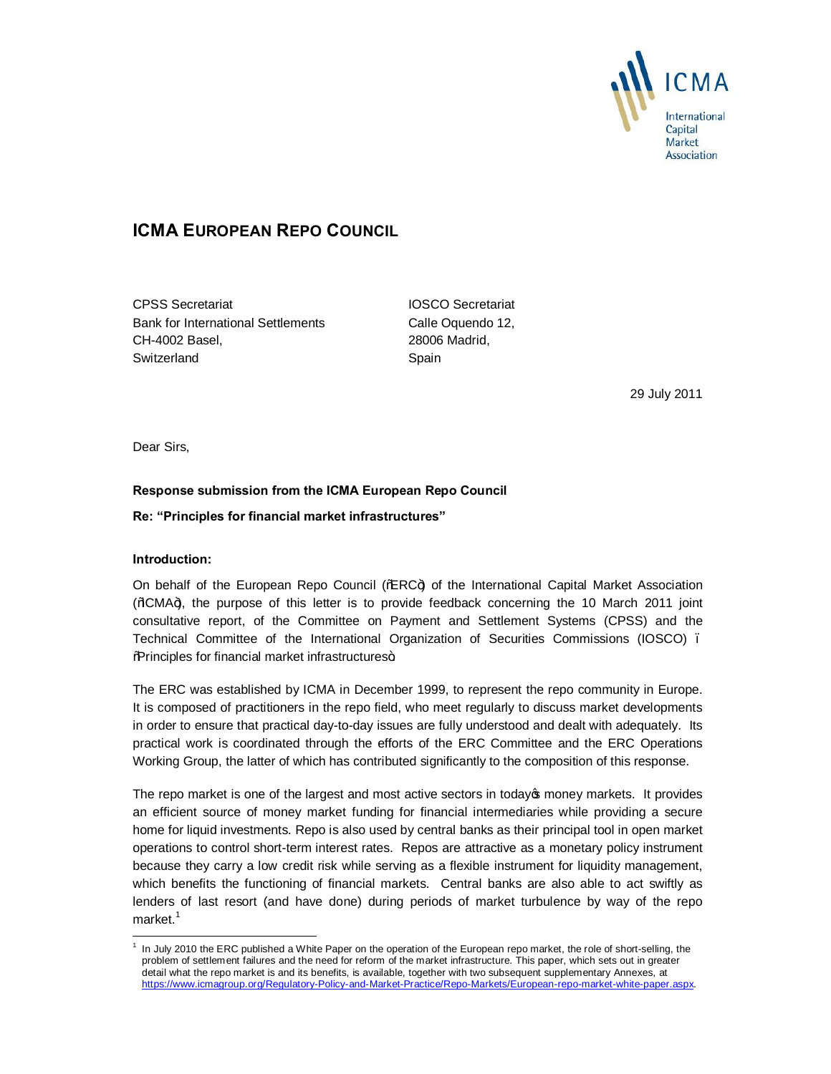

# **ICMA EUROPEAN REPO COUNCIL**

CPSS Secretariat IOSCO Secretariat Bank for International Settlements Calle Oquendo 12, CH-4002 Basel, 28006 Madrid, Switzerland Spain

29 July 2011

Dear Sirs,

# **Response submission from the ICMA European Repo Council**

# **Re: "Principles for financial market infrastructures"**

#### **Introduction:**

-

On behalf of the European Repo Council ( $\frac{m}{kR}$ C+) of the International Capital Market Association (%CMA+), the purpose of this letter is to provide feedback concerning the 10 March 2011 joint consultative report, of the Committee on Payment and Settlement Systems (CPSS) and the Technical Committee of the International Organization of Securities Commissions (IOSCO) – %Rrinciples for financial market infrastructures+.

The ERC was established by ICMA in December 1999, to represent the repo community in Europe. It is composed of practitioners in the repo field, who meet regularly to discuss market developments in order to ensure that practical day-to-day issues are fully understood and dealt with adequately. Its practical work is coordinated through the efforts of the ERC Committee and the ERC Operations Working Group, the latter of which has contributed significantly to the composition of this response.

The repo market is one of the largest and most active sectors in today to money markets. It provides an efficient source of money market funding for financial intermediaries while providing a secure home for liquid investments. Repo is also used by central banks as their principal tool in open market operations to control short-term interest rates. Repos are attractive as a monetary policy instrument because they carry a low credit risk while serving as a flexible instrument for liquidity management, which benefits the functioning of financial markets. Central banks are also able to act swiftly as lenders of last resort (and have done) during periods of market turbulence by way of the repo  $market.<sup>1</sup>$ 

 $1$  In July 2010 the ERC published a White Paper on the operation of the European repo market, the role of short-selling, the problem of settlement failures and the need for reform of the market infrastructure. This paper, which sets out in greater detail what the repo market is and its benefits, is available, together with two subsequent supplementary Annexes, at https://www.icmagroup.org/Regulatory-Policy-and-Market-Practice/Repo-Markets/European-repo-market-white-paper.aspx.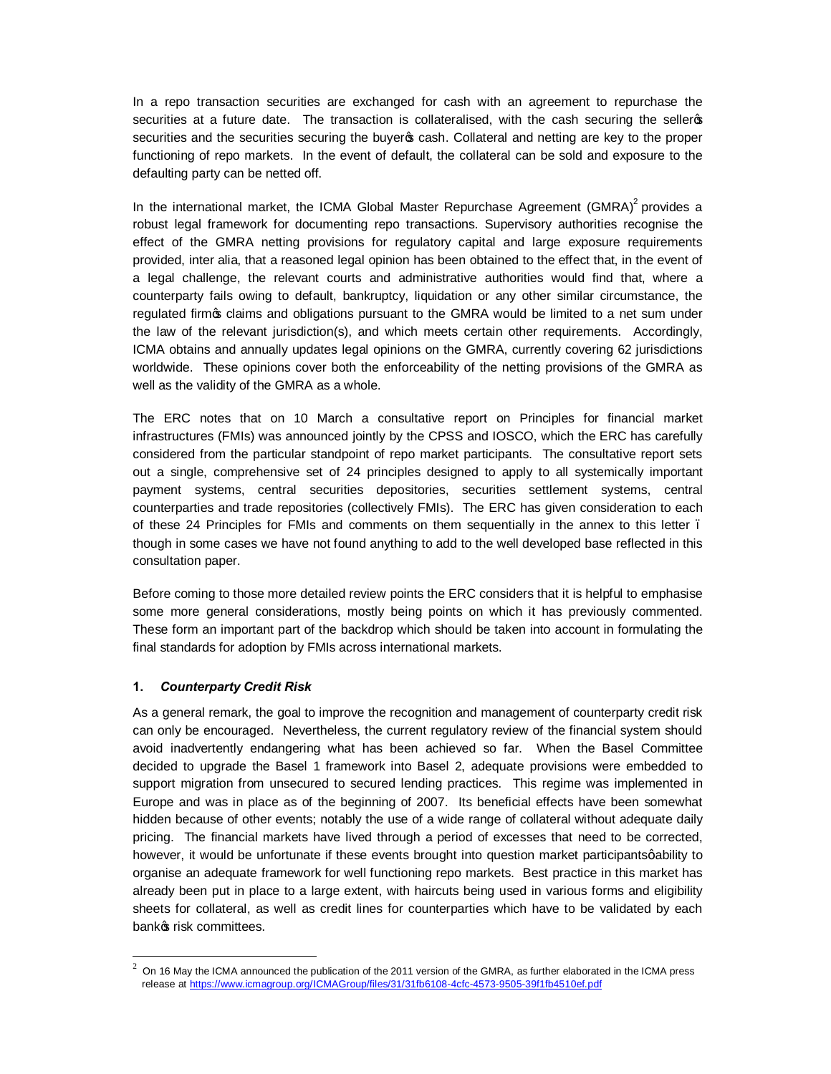In a repo transaction securities are exchanged for cash with an agreement to repurchase the securities at a future date. The transaction is collateralised, with the cash securing the selleros securities and the securities securing the buyer  $\infty$  cash. Collateral and netting are key to the proper functioning of repo markets. In the event of default, the collateral can be sold and exposure to the defaulting party can be netted off.

In the international market, the ICMA Global Master Repurchase Agreement  $(GMRA)^2$  provides a robust legal framework for documenting repo transactions. Supervisory authorities recognise the effect of the GMRA netting provisions for regulatory capital and large exposure requirements provided, inter alia, that a reasoned legal opinion has been obtained to the effect that, in the event of a legal challenge, the relevant courts and administrative authorities would find that, where a counterparty fails owing to default, bankruptcy, liquidation or any other similar circumstance, the regulated firm op claims and obligations pursuant to the GMRA would be limited to a net sum under the law of the relevant jurisdiction(s), and which meets certain other requirements. Accordingly, ICMA obtains and annually updates legal opinions on the GMRA, currently covering 62 jurisdictions worldwide. These opinions cover both the enforceability of the netting provisions of the GMRA as well as the validity of the GMRA as a whole.

The ERC notes that on 10 March a consultative report on Principles for financial market infrastructures (FMIs) was announced jointly by the CPSS and IOSCO, which the ERC has carefully considered from the particular standpoint of repo market participants. The consultative report sets out a single, comprehensive set of 24 principles designed to apply to all systemically important payment systems, central securities depositories, securities settlement systems, central counterparties and trade repositories (collectively FMIs). The ERC has given consideration to each of these 24 Principles for FMIs and comments on them sequentially in the annex to this letter – though in some cases we have not found anything to add to the well developed base reflected in this consultation paper.

Before coming to those more detailed review points the ERC considers that it is helpful to emphasise some more general considerations, mostly being points on which it has previously commented. These form an important part of the backdrop which should be taken into account in formulating the final standards for adoption by FMIs across international markets.

# **1.** *Counterparty Credit Risk*

-

As a general remark, the goal to improve the recognition and management of counterparty credit risk can only be encouraged. Nevertheless, the current regulatory review of the financial system should avoid inadvertently endangering what has been achieved so far. When the Basel Committee decided to upgrade the Basel 1 framework into Basel 2, adequate provisions were embedded to support migration from unsecured to secured lending practices. This regime was implemented in Europe and was in place as of the beginning of 2007. Its beneficial effects have been somewhat hidden because of other events; notably the use of a wide range of collateral without adequate daily pricing. The financial markets have lived through a period of excesses that need to be corrected, however, it would be unfortunate if these events brought into question market participantsgability to organise an adequate framework for well functioning repo markets. Best practice in this market has already been put in place to a large extent, with haircuts being used in various forms and eligibility sheets for collateral, as well as credit lines for counterparties which have to be validated by each bankos risk committees.

<sup>2</sup> On 16 May the ICMA announced the publication of the 2011 version of the GMRA, as further elaborated in the ICMA press release at https://www.icmagroup.org/ICMAGroup/files/31/31fb6108-4cfc-4573-9505-39f1fb4510ef.pdf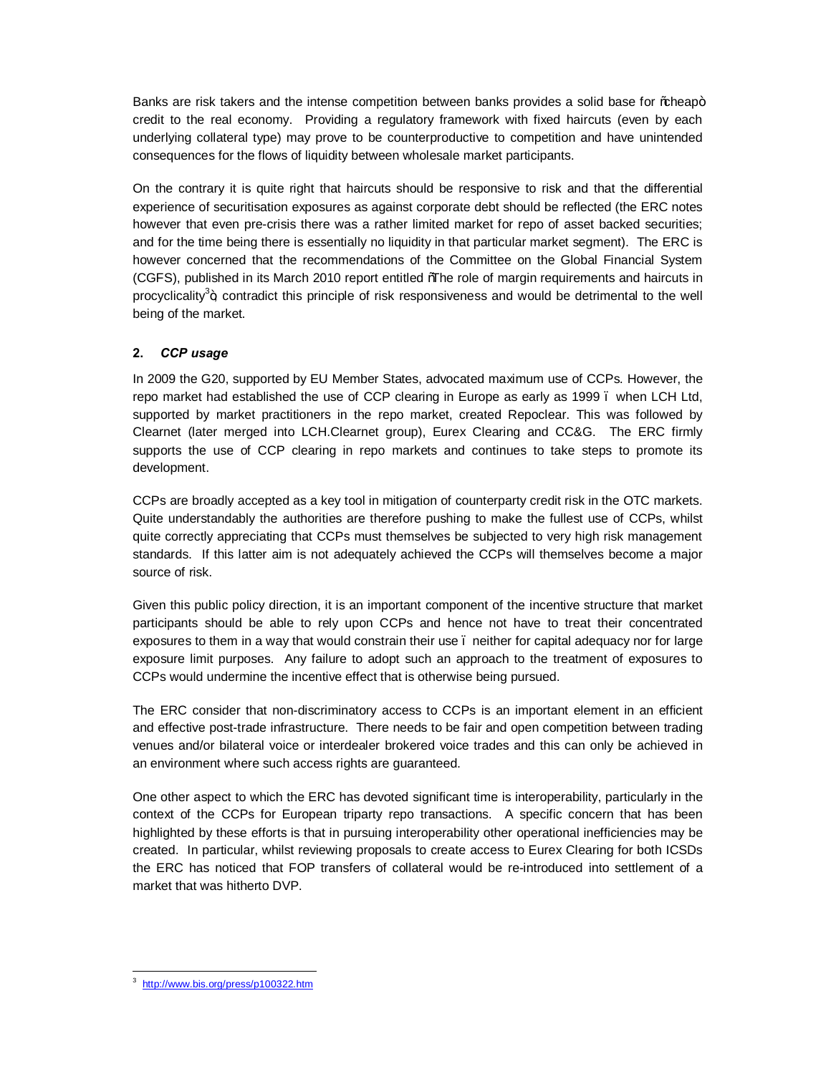Banks are risk takers and the intense competition between banks provides a solid base for % heap+ credit to the real economy. Providing a regulatory framework with fixed haircuts (even by each underlying collateral type) may prove to be counterproductive to competition and have unintended consequences for the flows of liquidity between wholesale market participants.

On the contrary it is quite right that haircuts should be responsive to risk and that the differential experience of securitisation exposures as against corporate debt should be reflected (the ERC notes however that even pre-crisis there was a rather limited market for repo of asset backed securities; and for the time being there is essentially no liquidity in that particular market segment). The ERC is however concerned that the recommendations of the Committee on the Global Financial System (CGFS), published in its March 2010 report entitled "The role of margin requirements and haircuts in procyclicality<sup>3</sup>+, contradict this principle of risk responsiveness and would be detrimental to the well being of the market.

# **2.** *CCP usage*

In 2009 the G20, supported by EU Member States, advocated maximum use of CCPs. However, the repo market had established the use of CCP clearing in Europe as early as 1999 – when LCH Ltd, supported by market practitioners in the repo market, created Repoclear. This was followed by Clearnet (later merged into LCH.Clearnet group), Eurex Clearing and CC&G. The ERC firmly supports the use of CCP clearing in repo markets and continues to take steps to promote its development.

CCPs are broadly accepted as a key tool in mitigation of counterparty credit risk in the OTC markets. Quite understandably the authorities are therefore pushing to make the fullest use of CCPs, whilst quite correctly appreciating that CCPs must themselves be subjected to very high risk management standards. If this latter aim is not adequately achieved the CCPs will themselves become a major source of risk.

Given this public policy direction, it is an important component of the incentive structure that market participants should be able to rely upon CCPs and hence not have to treat their concentrated exposures to them in a way that would constrain their use. neither for capital adequacy nor for large exposure limit purposes. Any failure to adopt such an approach to the treatment of exposures to CCPs would undermine the incentive effect that is otherwise being pursued.

The ERC consider that non-discriminatory access to CCPs is an important element in an efficient and effective post-trade infrastructure. There needs to be fair and open competition between trading venues and/or bilateral voice or interdealer brokered voice trades and this can only be achieved in an environment where such access rights are guaranteed.

One other aspect to which the ERC has devoted significant time is interoperability, particularly in the context of the CCPs for European triparty repo transactions. A specific concern that has been highlighted by these efforts is that in pursuing interoperability other operational inefficiencies may be created. In particular, whilst reviewing proposals to create access to Eurex Clearing for both ICSDs the ERC has noticed that FOP transfers of collateral would be re-introduced into settlement of a market that was hitherto DVP.

 $\overline{a}$ 3 http://www.bis.org/press/p100322.htm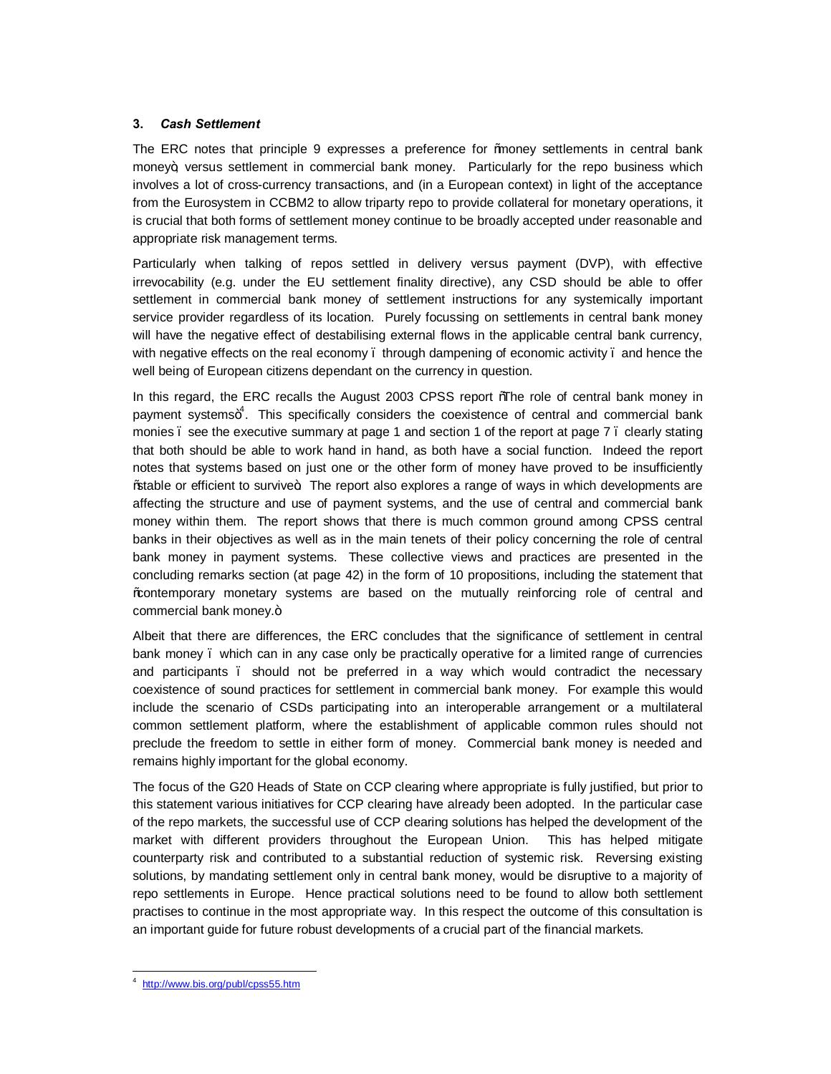# **3.** *Cash Settlement*

The ERC notes that principle 9 expresses a preference for ‰oney settlements in central bank money+, versus settlement in commercial bank money. Particularly for the repo business which involves a lot of cross-currency transactions, and (in a European context) in light of the acceptance from the Eurosystem in CCBM2 to allow triparty repo to provide collateral for monetary operations, it is crucial that both forms of settlement money continue to be broadly accepted under reasonable and appropriate risk management terms.

Particularly when talking of repos settled in delivery versus payment (DVP), with effective irrevocability (e.g. under the EU settlement finality directive), any CSD should be able to offer settlement in commercial bank money of settlement instructions for any systemically important service provider regardless of its location. Purely focussing on settlements in central bank money will have the negative effect of destabilising external flows in the applicable central bank currency, with negative effects on the real economy . through dampening of economic activity . and hence the well being of European citizens dependant on the currency in question.

In this regard, the ERC recalls the August 2003 CPSS report %The role of central bank money in payment systems+<sup>4</sup>. This specifically considers the coexistence of central and commercial bank monies . see the executive summary at page 1 and section 1 of the report at page 7 . clearly stating that both should be able to work hand in hand, as both have a social function. Indeed the report notes that systems based on just one or the other form of money have proved to be insufficiently % able or efficient to survive. The report also explores a range of ways in which developments are affecting the structure and use of payment systems, and the use of central and commercial bank money within them. The report shows that there is much common ground among CPSS central banks in their objectives as well as in the main tenets of their policy concerning the role of central bank money in payment systems. These collective views and practices are presented in the concluding remarks section (at page 42) in the form of 10 propositions, including the statement that "contemporary monetary systems are based on the mutually reinforcing role of central and commercial bank money.+

Albeit that there are differences, the ERC concludes that the significance of settlement in central bank money – which can in any case only be practically operative for a limited range of currencies and participants – should not be preferred in a way which would contradict the necessary coexistence of sound practices for settlement in commercial bank money. For example this would include the scenario of CSDs participating into an interoperable arrangement or a multilateral common settlement platform, where the establishment of applicable common rules should not preclude the freedom to settle in either form of money. Commercial bank money is needed and remains highly important for the global economy.

The focus of the G20 Heads of State on CCP clearing where appropriate is fully justified, but prior to this statement various initiatives for CCP clearing have already been adopted. In the particular case of the repo markets, the successful use of CCP clearing solutions has helped the development of the market with different providers throughout the European Union. This has helped mitigate counterparty risk and contributed to a substantial reduction of systemic risk. Reversing existing solutions, by mandating settlement only in central bank money, would be disruptive to a majority of repo settlements in Europe. Hence practical solutions need to be found to allow both settlement practises to continue in the most appropriate way. In this respect the outcome of this consultation is an important guide for future robust developments of a crucial part of the financial markets.

 $\overline{a}$ 4 http://www.bis.org/publ/cpss55.htm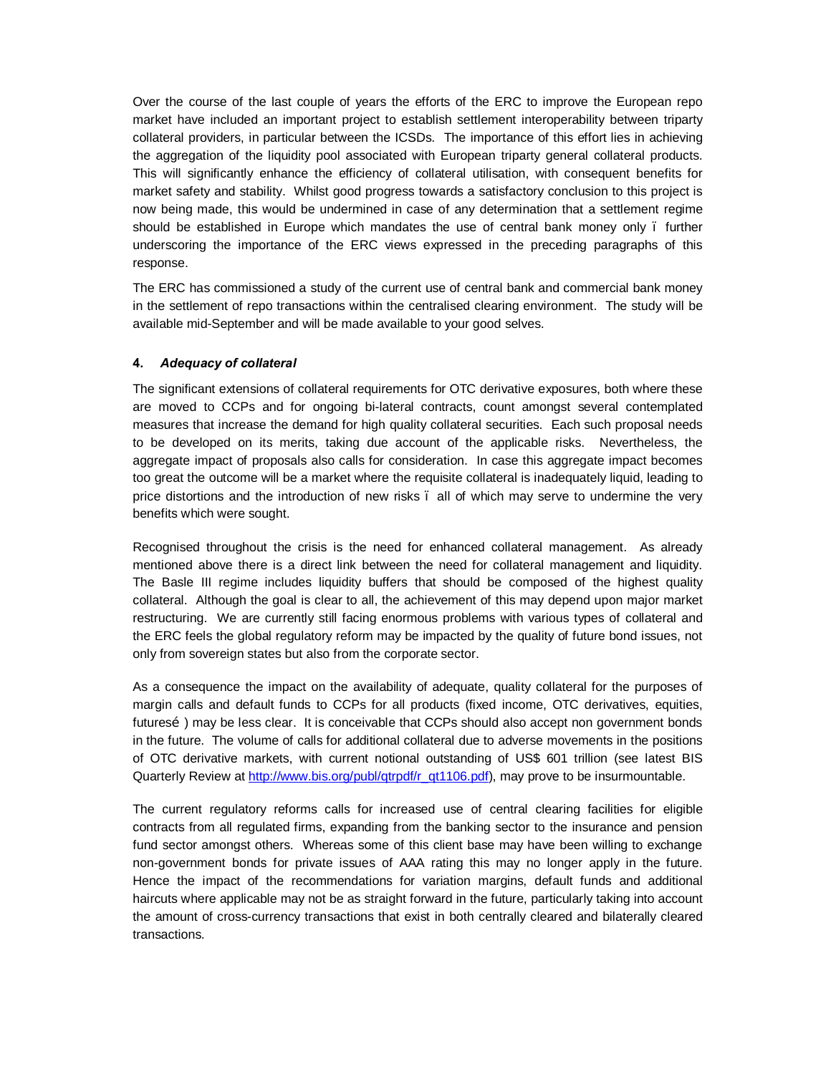Over the course of the last couple of years the efforts of the ERC to improve the European repo market have included an important project to establish settlement interoperability between triparty collateral providers, in particular between the ICSDs. The importance of this effort lies in achieving the aggregation of the liquidity pool associated with European triparty general collateral products. This will significantly enhance the efficiency of collateral utilisation, with consequent benefits for market safety and stability. Whilst good progress towards a satisfactory conclusion to this project is now being made, this would be undermined in case of any determination that a settlement regime should be established in Europe which mandates the use of central bank money only – further underscoring the importance of the ERC views expressed in the preceding paragraphs of this response.

The ERC has commissioned a study of the current use of central bank and commercial bank money in the settlement of repo transactions within the centralised clearing environment. The study will be available mid-September and will be made available to your good selves.

# **4.** *Adequacy of collateral*

The significant extensions of collateral requirements for OTC derivative exposures, both where these are moved to CCPs and for ongoing bi-lateral contracts, count amongst several contemplated measures that increase the demand for high quality collateral securities. Each such proposal needs to be developed on its merits, taking due account of the applicable risks. Nevertheless, the aggregate impact of proposals also calls for consideration. In case this aggregate impact becomes too great the outcome will be a market where the requisite collateral is inadequately liquid, leading to price distortions and the introduction of new risks – all of which may serve to undermine the very benefits which were sought.

Recognised throughout the crisis is the need for enhanced collateral management. As already mentioned above there is a direct link between the need for collateral management and liquidity. The Basle III regime includes liquidity buffers that should be composed of the highest quality collateral. Although the goal is clear to all, the achievement of this may depend upon major market restructuring. We are currently still facing enormous problems with various types of collateral and the ERC feels the global regulatory reform may be impacted by the quality of future bond issues, not only from sovereign states but also from the corporate sector.

As a consequence the impact on the availability of adequate, quality collateral for the purposes of margin calls and default funds to CCPs for all products (fixed income, OTC derivatives, equities, futures  $\delta$ ) may be less clear. It is conceivable that CCPs should also accept non government bonds in the future. The volume of calls for additional collateral due to adverse movements in the positions of OTC derivative markets, with current notional outstanding of US\$ 601 trillion (see latest BIS Quarterly Review at http://www.bis.org/publ/qtrpdf/r\_qt1106.pdf), may prove to be insurmountable.

The current regulatory reforms calls for increased use of central clearing facilities for eligible contracts from all regulated firms, expanding from the banking sector to the insurance and pension fund sector amongst others. Whereas some of this client base may have been willing to exchange non-government bonds for private issues of AAA rating this may no longer apply in the future. Hence the impact of the recommendations for variation margins, default funds and additional haircuts where applicable may not be as straight forward in the future, particularly taking into account the amount of cross-currency transactions that exist in both centrally cleared and bilaterally cleared transactions.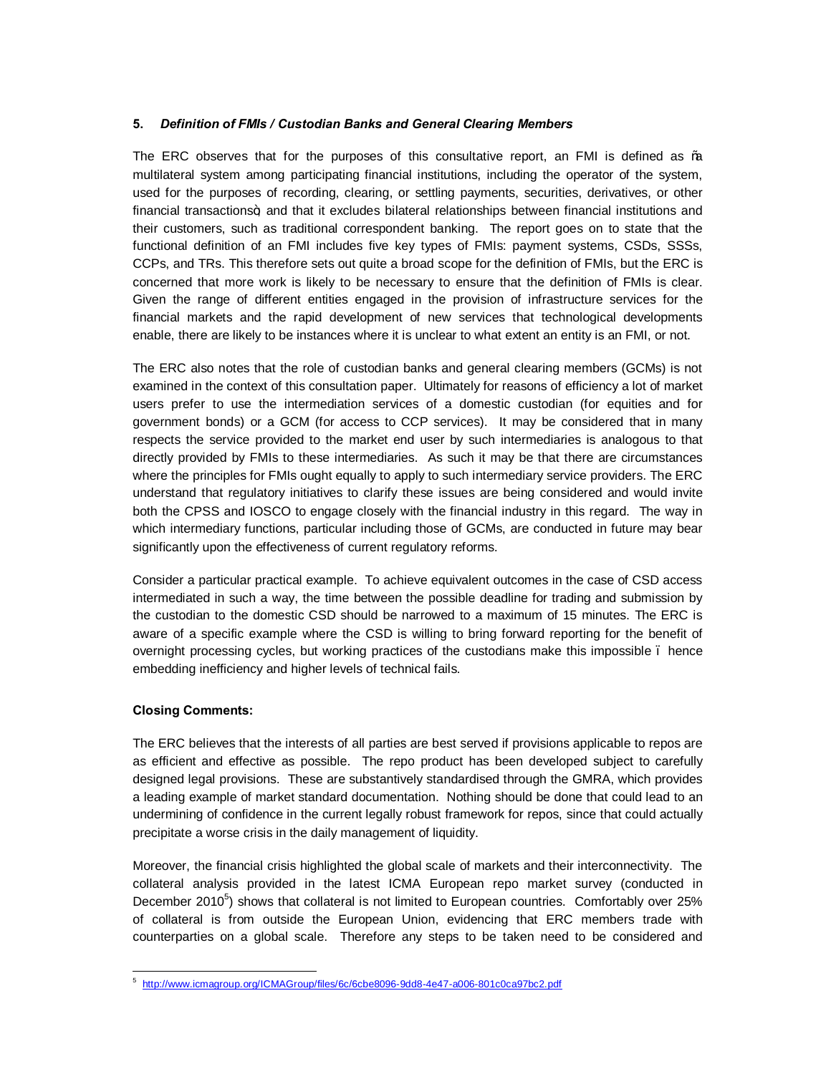# **5.** *Definition of FMIs / Custodian Banks and General Clearing Members*

The ERC observes that for the purposes of this consultative report, an FMI is defined as %a multilateral system among participating financial institutions, including the operator of the system, used for the purposes of recording, clearing, or settling payments, securities, derivatives, or other financial transactions+; and that it excludes bilateral relationships between financial institutions and their customers, such as traditional correspondent banking. The report goes on to state that the functional definition of an FMI includes five key types of FMIs: payment systems, CSDs, SSSs, CCPs, and TRs. This therefore sets out quite a broad scope for the definition of FMIs, but the ERC is concerned that more work is likely to be necessary to ensure that the definition of FMIs is clear. Given the range of different entities engaged in the provision of infrastructure services for the financial markets and the rapid development of new services that technological developments enable, there are likely to be instances where it is unclear to what extent an entity is an FMI, or not.

The ERC also notes that the role of custodian banks and general clearing members (GCMs) is not examined in the context of this consultation paper. Ultimately for reasons of efficiency a lot of market users prefer to use the intermediation services of a domestic custodian (for equities and for government bonds) or a GCM (for access to CCP services). It may be considered that in many respects the service provided to the market end user by such intermediaries is analogous to that directly provided by FMIs to these intermediaries. As such it may be that there are circumstances where the principles for FMIs ought equally to apply to such intermediary service providers. The ERC understand that regulatory initiatives to clarify these issues are being considered and would invite both the CPSS and IOSCO to engage closely with the financial industry in this regard. The way in which intermediary functions, particular including those of GCMs, are conducted in future may bear significantly upon the effectiveness of current regulatory reforms.

Consider a particular practical example. To achieve equivalent outcomes in the case of CSD access intermediated in such a way, the time between the possible deadline for trading and submission by the custodian to the domestic CSD should be narrowed to a maximum of 15 minutes. The ERC is aware of a specific example where the CSD is willing to bring forward reporting for the benefit of overnight processing cycles, but working practices of the custodians make this impossible – hence embedding inefficiency and higher levels of technical fails.

# **Closing Comments:**

The ERC believes that the interests of all parties are best served if provisions applicable to repos are as efficient and effective as possible. The repo product has been developed subject to carefully designed legal provisions. These are substantively standardised through the GMRA, which provides a leading example of market standard documentation. Nothing should be done that could lead to an undermining of confidence in the current legally robust framework for repos, since that could actually precipitate a worse crisis in the daily management of liquidity.

Moreover, the financial crisis highlighted the global scale of markets and their interconnectivity. The collateral analysis provided in the latest ICMA European repo market survey (conducted in December 2010 $5$ ) shows that collateral is not limited to European countries. Comfortably over 25% of collateral is from outside the European Union, evidencing that ERC members trade with counterparties on a global scale. Therefore any steps to be taken need to be considered and

 $\overline{a}$ 5 http://www.icmagroup.org/ICMAGroup/files/6c/6cbe8096-9dd8-4e47-a006-801c0ca97bc2.pdf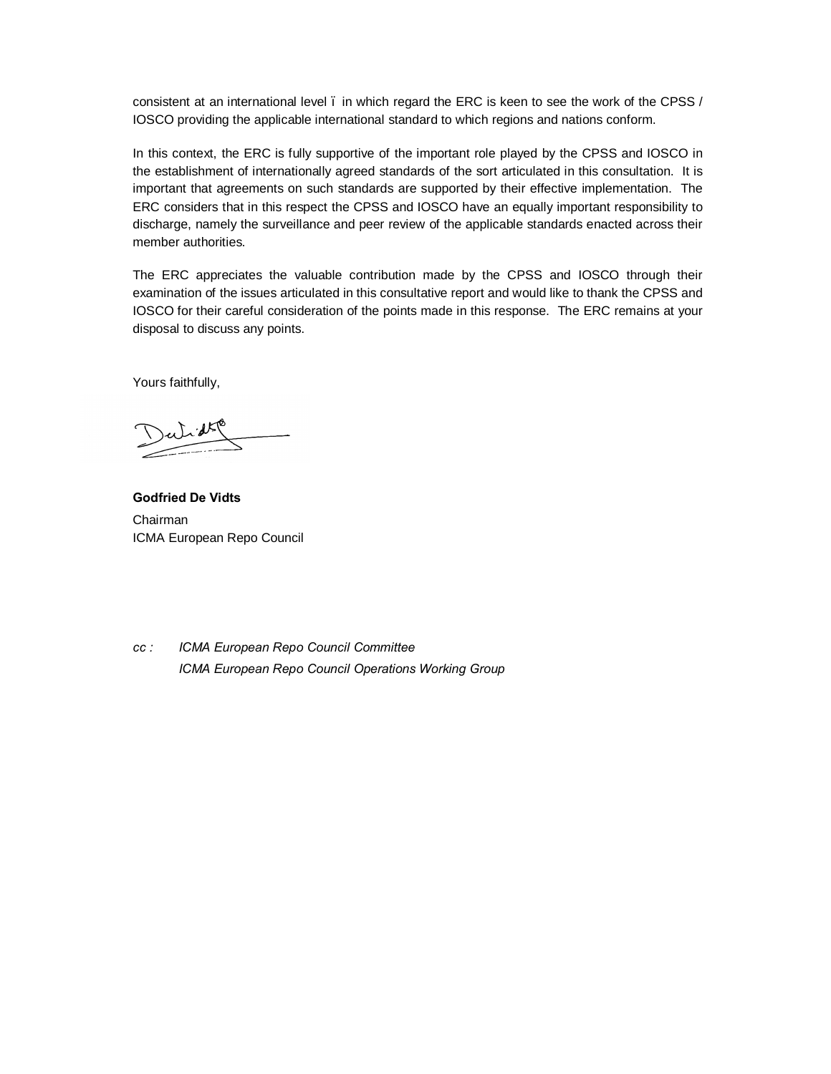consistent at an international level – in which regard the ERC is keen to see the work of the CPSS / IOSCO providing the applicable international standard to which regions and nations conform.

In this context, the ERC is fully supportive of the important role played by the CPSS and IOSCO in the establishment of internationally agreed standards of the sort articulated in this consultation. It is important that agreements on such standards are supported by their effective implementation. The ERC considers that in this respect the CPSS and IOSCO have an equally important responsibility to discharge, namely the surveillance and peer review of the applicable standards enacted across their member authorities.

The ERC appreciates the valuable contribution made by the CPSS and IOSCO through their examination of the issues articulated in this consultative report and would like to thank the CPSS and IOSCO for their careful consideration of the points made in this response. The ERC remains at your disposal to discuss any points.

Yours faithfully,

**Godfried De Vidts** Chairman ICMA European Repo Council

*cc : ICMA European Repo Council Committee ICMA European Repo Council Operations Working Group*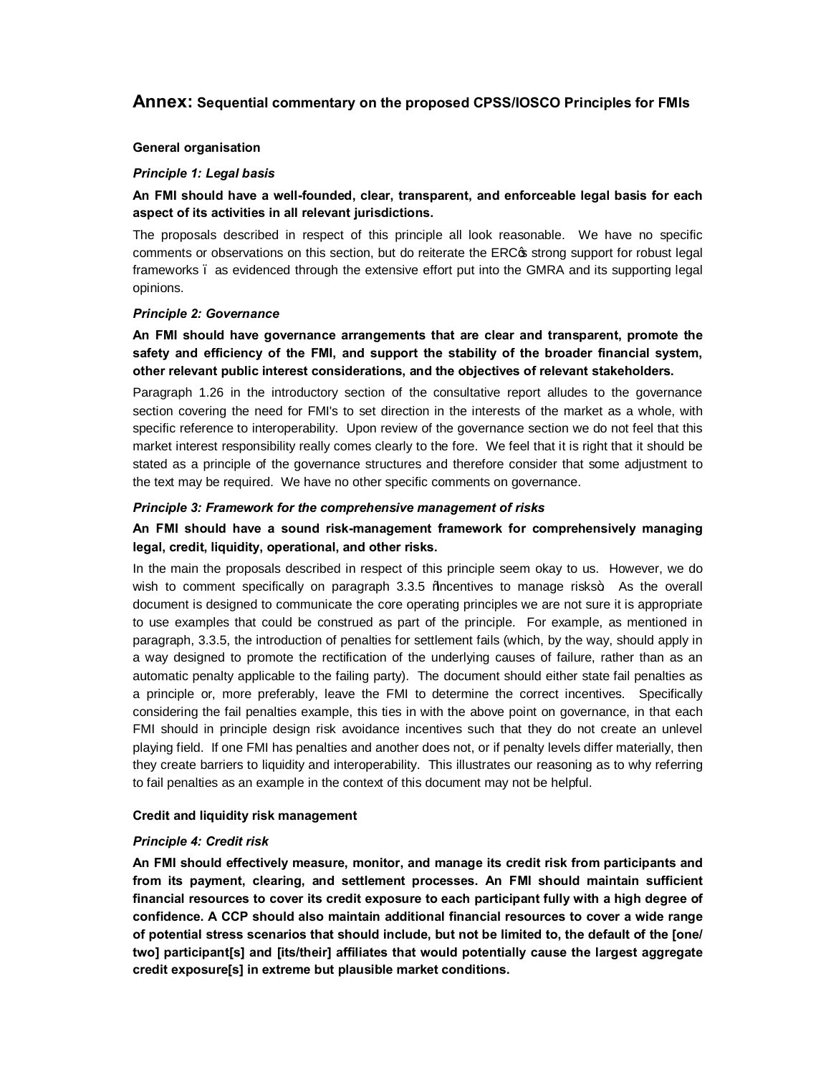# **Annex: Sequential commentary on the proposed CPSS/IOSCO Principles for FMIs**

#### **General organisation**

### *Principle 1: Legal basis*

# **An FMI should have a well-founded, clear, transparent, and enforceable legal basis for each aspect of its activities in all relevant jurisdictions.**

The proposals described in respect of this principle all look reasonable. We have no specific comments or observations on this section, but do reiterate the ERC $\sigma$  strong support for robust legal frameworks – as evidenced through the extensive effort put into the GMRA and its supporting legal opinions.

### *Principle 2: Governance*

# **An FMI should have governance arrangements that are clear and transparent, promote the safety and efficiency of the FMI, and support the stability of the broader financial system, other relevant public interest considerations, and the objectives of relevant stakeholders.**

Paragraph 1.26 in the introductory section of the consultative report alludes to the governance section covering the need for FMI's to set direction in the interests of the market as a whole, with specific reference to interoperability. Upon review of the governance section we do not feel that this market interest responsibility really comes clearly to the fore. We feel that it is right that it should be stated as a principle of the governance structures and therefore consider that some adjustment to the text may be required. We have no other specific comments on governance.

### *Principle 3: Framework for the comprehensive management of risks*

# **An FMI should have a sound risk-management framework for comprehensively managing legal, credit, liquidity, operational, and other risks.**

In the main the proposals described in respect of this principle seem okay to us. However, we do wish to comment specifically on paragraph  $3.3.5$   $%$  Macentives to manage risks $\pm$ . As the overall document is designed to communicate the core operating principles we are not sure it is appropriate to use examples that could be construed as part of the principle. For example, as mentioned in paragraph, 3.3.5, the introduction of penalties for settlement fails (which, by the way, should apply in a way designed to promote the rectification of the underlying causes of failure, rather than as an automatic penalty applicable to the failing party). The document should either state fail penalties as a principle or, more preferably, leave the FMI to determine the correct incentives. Specifically considering the fail penalties example, this ties in with the above point on governance, in that each FMI should in principle design risk avoidance incentives such that they do not create an unlevel playing field. If one FMI has penalties and another does not, or if penalty levels differ materially, then they create barriers to liquidity and interoperability. This illustrates our reasoning as to why referring to fail penalties as an example in the context of this document may not be helpful.

#### **Credit and liquidity risk management**

#### *Principle 4: Credit risk*

**An FMI should effectively measure, monitor, and manage its credit risk from participants and from its payment, clearing, and settlement processes. An FMI should maintain sufficient financial resources to cover its credit exposure to each participant fully with a high degree of confidence. A CCP should also maintain additional financial resources to cover a wide range of potential stress scenarios that should include, but not be limited to, the default of the [one/ two] participant[s] and [its/their] affiliates that would potentially cause the largest aggregate credit exposure[s] in extreme but plausible market conditions.**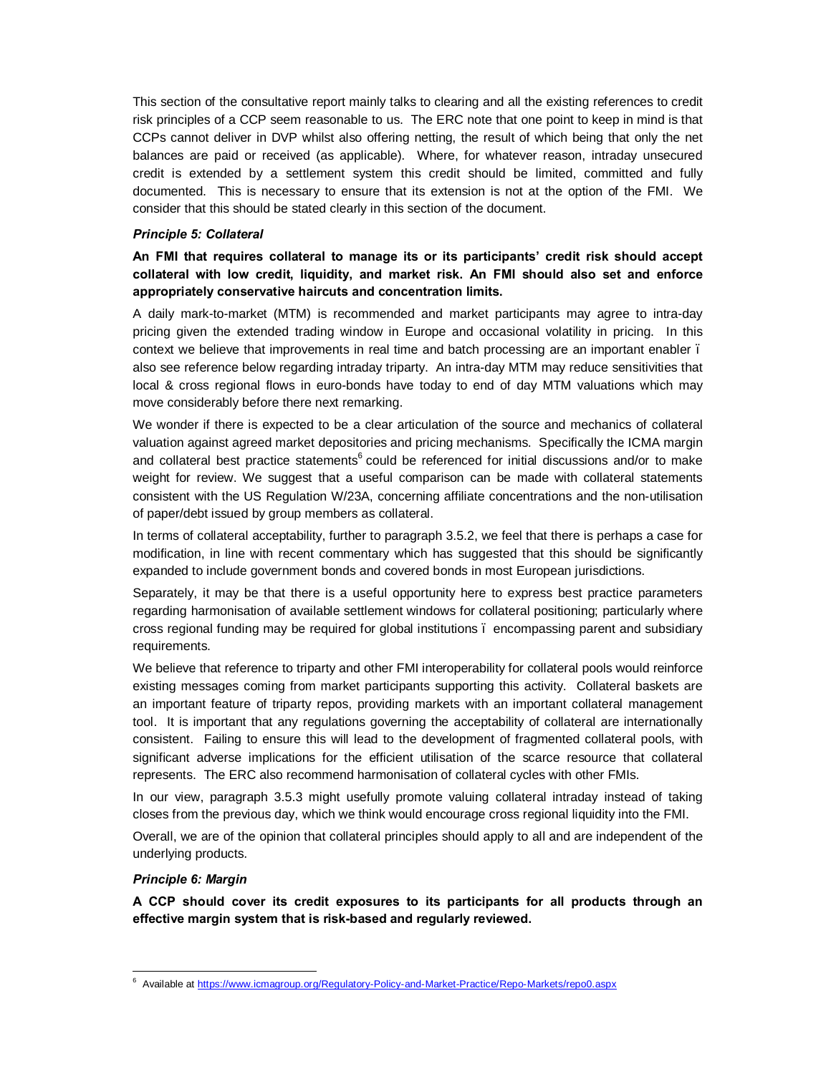This section of the consultative report mainly talks to clearing and all the existing references to credit risk principles of a CCP seem reasonable to us. The ERC note that one point to keep in mind is that CCPs cannot deliver in DVP whilst also offering netting, the result of which being that only the net balances are paid or received (as applicable). Where, for whatever reason, intraday unsecured credit is extended by a settlement system this credit should be limited, committed and fully documented. This is necessary to ensure that its extension is not at the option of the FMI. We consider that this should be stated clearly in this section of the document.

#### *Principle 5: Collateral*

**An FMI that requires collateral to manage its or its participants' credit risk should accept collateral with low credit, liquidity, and market risk. An FMI should also set and enforce appropriately conservative haircuts and concentration limits.**

A daily mark-to-market (MTM) is recommended and market participants may agree to intra-day pricing given the extended trading window in Europe and occasional volatility in pricing. In this context we believe that improvements in real time and batch processing are an important enabler. also see reference below regarding intraday triparty. An intra-day MTM may reduce sensitivities that local & cross regional flows in euro-bonds have today to end of day MTM valuations which may move considerably before there next remarking.

We wonder if there is expected to be a clear articulation of the source and mechanics of collateral valuation against agreed market depositories and pricing mechanisms. Specifically the ICMA margin and collateral best practice statements<sup>6</sup> could be referenced for initial discussions and/or to make weight for review. We suggest that a useful comparison can be made with collateral statements consistent with the US Regulation W/23A, concerning affiliate concentrations and the non-utilisation of paper/debt issued by group members as collateral.

In terms of collateral acceptability, further to paragraph 3.5.2, we feel that there is perhaps a case for modification, in line with recent commentary which has suggested that this should be significantly expanded to include government bonds and covered bonds in most European jurisdictions.

Separately, it may be that there is a useful opportunity here to express best practice parameters regarding harmonisation of available settlement windows for collateral positioning; particularly where cross regional funding may be required for global institutions – encompassing parent and subsidiary requirements.

We believe that reference to triparty and other FMI interoperability for collateral pools would reinforce existing messages coming from market participants supporting this activity. Collateral baskets are an important feature of triparty repos, providing markets with an important collateral management tool. It is important that any regulations governing the acceptability of collateral are internationally consistent. Failing to ensure this will lead to the development of fragmented collateral pools, with significant adverse implications for the efficient utilisation of the scarce resource that collateral represents. The ERC also recommend harmonisation of collateral cycles with other FMIs.

In our view, paragraph 3.5.3 might usefully promote valuing collateral intraday instead of taking closes from the previous day, which we think would encourage cross regional liquidity into the FMI.

Overall, we are of the opinion that collateral principles should apply to all and are independent of the underlying products.

#### *Principle 6: Margin*

**A CCP should cover its credit exposures to its participants for all products through an effective margin system that is risk-based and regularly reviewed.**

 $\overline{a}$ <sup>6</sup> Available at https://www.icmagroup.org/Regulatory-Policy-and-Market-Practice/Repo-Markets/repo0.aspx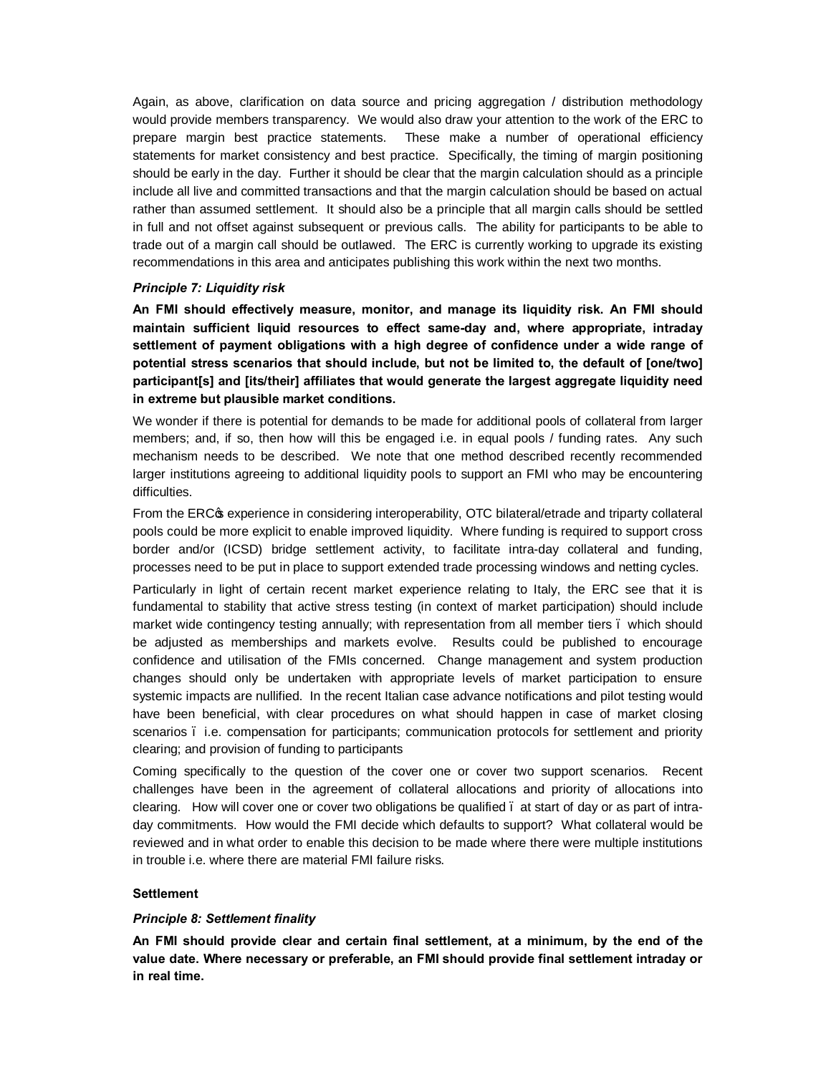Again, as above, clarification on data source and pricing aggregation / distribution methodology would provide members transparency. We would also draw your attention to the work of the ERC to prepare margin best practice statements. These make a number of operational efficiency statements for market consistency and best practice. Specifically, the timing of margin positioning should be early in the day. Further it should be clear that the margin calculation should as a principle include all live and committed transactions and that the margin calculation should be based on actual rather than assumed settlement. It should also be a principle that all margin calls should be settled in full and not offset against subsequent or previous calls. The ability for participants to be able to trade out of a margin call should be outlawed. The ERC is currently working to upgrade its existing recommendations in this area and anticipates publishing this work within the next two months.

### *Principle 7: Liquidity risk*

**An FMI should effectively measure, monitor, and manage its liquidity risk. An FMI should maintain sufficient liquid resources to effect same-day and, where appropriate, intraday settlement of payment obligations with a high degree of confidence under a wide range of potential stress scenarios that should include, but not be limited to, the default of [one/two] participant[s] and [its/their] affiliates that would generate the largest aggregate liquidity need in extreme but plausible market conditions.**

We wonder if there is potential for demands to be made for additional pools of collateral from larger members; and, if so, then how will this be engaged i.e. in equal pools / funding rates. Any such mechanism needs to be described. We note that one method described recently recommended larger institutions agreeing to additional liquidity pools to support an FMI who may be encountering difficulties.

From the ERC $\alpha$  experience in considering interoperability, OTC bilateral/etrade and triparty collateral pools could be more explicit to enable improved liquidity. Where funding is required to support cross border and/or (ICSD) bridge settlement activity, to facilitate intra-day collateral and funding, processes need to be put in place to support extended trade processing windows and netting cycles.

Particularly in light of certain recent market experience relating to Italy, the ERC see that it is fundamental to stability that active stress testing (in context of market participation) should include market wide contingency testing annually; with representation from all member tiers. which should be adjusted as memberships and markets evolve. Results could be published to encourage confidence and utilisation of the FMIs concerned. Change management and system production changes should only be undertaken with appropriate levels of market participation to ensure systemic impacts are nullified. In the recent Italian case advance notifications and pilot testing would have been beneficial, with clear procedures on what should happen in case of market closing scenarios . i.e. compensation for participants; communication protocols for settlement and priority clearing; and provision of funding to participants

Coming specifically to the question of the cover one or cover two support scenarios. Recent challenges have been in the agreement of collateral allocations and priority of allocations into clearing. How will cover one or cover two obligations be qualified – at start of day or as part of intraday commitments. How would the FMI decide which defaults to support? What collateral would be reviewed and in what order to enable this decision to be made where there were multiple institutions in trouble i.e. where there are material FMI failure risks.

### **Settlement**

#### *Principle 8: Settlement finality*

**An FMI should provide clear and certain final settlement, at a minimum, by the end of the value date. Where necessary or preferable, an FMI should provide final settlement intraday or in real time.**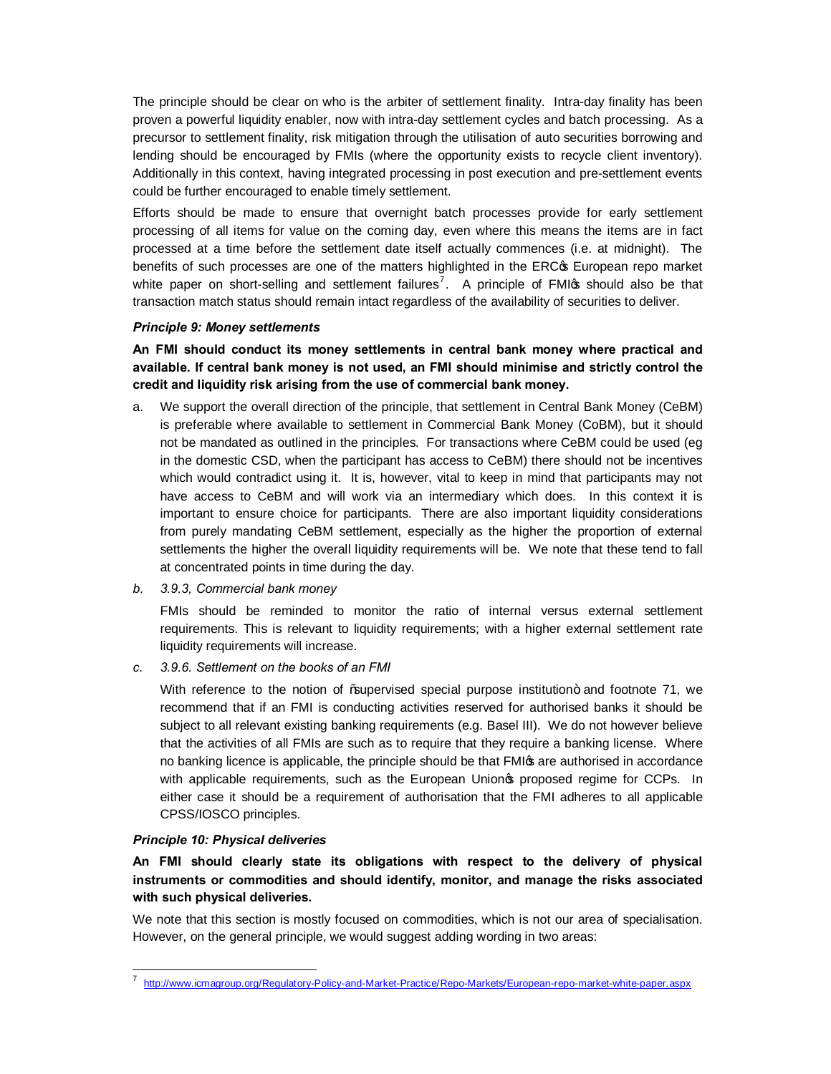The principle should be clear on who is the arbiter of settlement finality. Intra-day finality has been proven a powerful liquidity enabler, now with intra-day settlement cycles and batch processing. As a precursor to settlement finality, risk mitigation through the utilisation of auto securities borrowing and lending should be encouraged by FMIs (where the opportunity exists to recycle client inventory). Additionally in this context, having integrated processing in post execution and pre-settlement events could be further encouraged to enable timely settlement.

Efforts should be made to ensure that overnight batch processes provide for early settlement processing of all items for value on the coming day, even where this means the items are in fact processed at a time before the settlement date itself actually commences (i.e. at midnight). The benefits of such processes are one of the matters highlighted in the ERC of European repo market white paper on short-selling and settlement failures<sup>7</sup>. A principle of FMI $\alpha$  should also be that transaction match status should remain intact regardless of the availability of securities to deliver.

#### *Principle 9: Money settlements*

**An FMI should conduct its money settlements in central bank money where practical and available. If central bank money is not used, an FMI should minimise and strictly control the credit and liquidity risk arising from the use of commercial bank money.**

- a. We support the overall direction of the principle, that settlement in Central Bank Money (CeBM) is preferable where available to settlement in Commercial Bank Money (CoBM), but it should not be mandated as outlined in the principles. For transactions where CeBM could be used (eg in the domestic CSD, when the participant has access to CeBM) there should not be incentives which would contradict using it. It is, however, vital to keep in mind that participants may not have access to CeBM and will work via an intermediary which does. In this context it is important to ensure choice for participants. There are also important liquidity considerations from purely mandating CeBM settlement, especially as the higher the proportion of external settlements the higher the overall liquidity requirements will be. We note that these tend to fall at concentrated points in time during the day.
- *b. 3.9.3, Commercial bank money*

FMIs should be reminded to monitor the ratio of internal versus external settlement requirements. This is relevant to liquidity requirements; with a higher external settlement rate liquidity requirements will increase.

*c. 3.9.6. Settlement on the books of an FMI*

With reference to the notion of ‰upervised special purpose institution+ and footnote 71, we recommend that if an FMI is conducting activities reserved for authorised banks it should be subject to all relevant existing banking requirements (e.g. Basel III). We do not however believe that the activities of all FMIs are such as to require that they require a banking license. Where no banking licence is applicable, the principle should be that FMI are authorised in accordance with applicable requirements, such as the European Unionos proposed regime for CCPs. In either case it should be a requirement of authorisation that the FMI adheres to all applicable CPSS/IOSCO principles.

# *Principle 10: Physical deliveries*

-

# **An FMI should clearly state its obligations with respect to the delivery of physical instruments or commodities and should identify, monitor, and manage the risks associated with such physical deliveries.**

We note that this section is mostly focused on commodities, which is not our area of specialisation. However, on the general principle, we would suggest adding wording in two areas:

<sup>7</sup> http://www.icmagroup.org/Regulatory-Policy-and-Market-Practice/Repo-Markets/European-repo-market-white-paper.aspx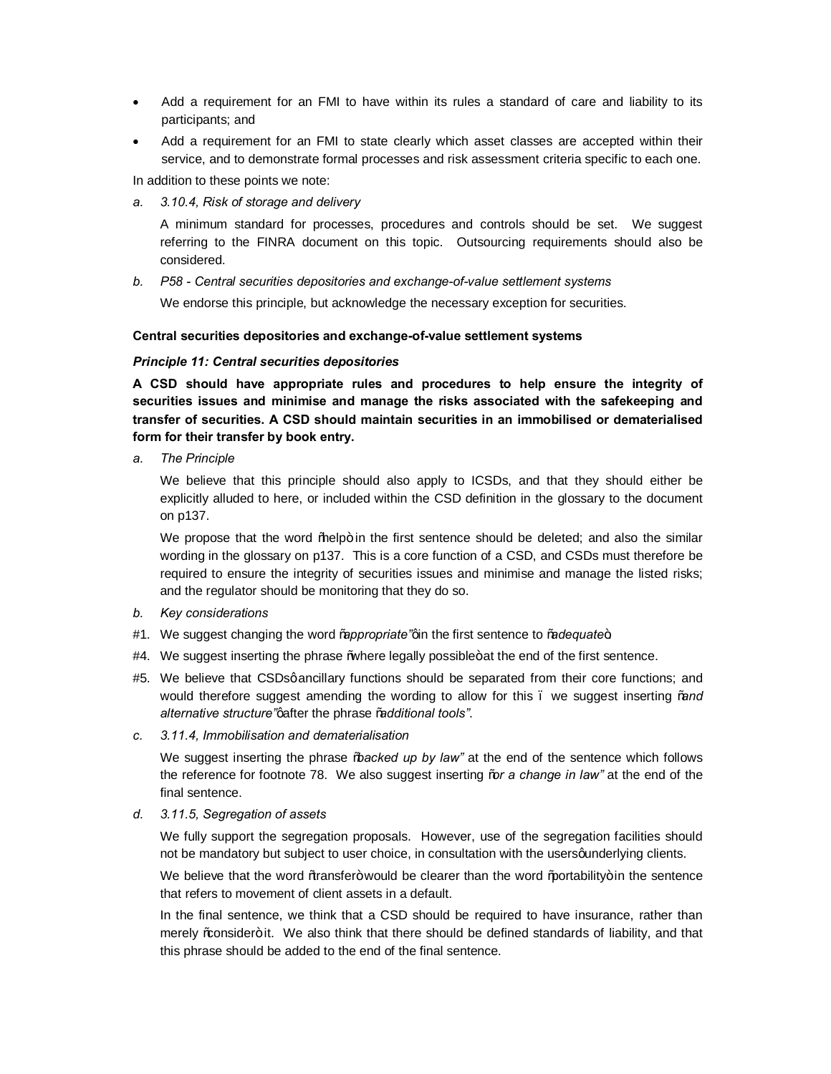- · Add a requirement for an FMI to have within its rules a standard of care and liability to its participants; and
- Add a requirement for an FMI to state clearly which asset classes are accepted within their service, and to demonstrate formal processes and risk assessment criteria specific to each one.

In addition to these points we note:

*a. 3.10.4, Risk of storage and delivery*

A minimum standard for processes, procedures and controls should be set. We suggest referring to the FINRA document on this topic. Outsourcing requirements should also be considered.

*b. P58 - Central securities depositories and exchange-of-value settlement systems*

We endorse this principle, but acknowledge the necessary exception for securities.

### **Central securities depositories and exchange-of-value settlement systems**

### *Principle 11: Central securities depositories*

**A CSD should have appropriate rules and procedures to help ensure the integrity of securities issues and minimise and manage the risks associated with the safekeeping and transfer of securities. A CSD should maintain securities in an immobilised or dematerialised form for their transfer by book entry.**

*a. The Principle*

We believe that this principle should also apply to ICSDs, and that they should either be explicitly alluded to here, or included within the CSD definition in the glossary to the document on p137.

We propose that the word % belp+ in the first sentence should be deleted; and also the similar wording in the glossary on p137. This is a core function of a CSD, and CSDs must therefore be required to ensure the integrity of securities issues and minimise and manage the listed risks; and the regulator should be monitoring that they do so.

- *b. Key considerations*
- #1. We suggest changing the word *"appropriate*" gin the first sentence to "adequate+
- #4. We suggest inserting the phrase %where legally possible+at the end of the first sentence.
- #5. We believe that CSDsqancillary functions should be separated from their core functions; and would therefore suggest amending the wording to allow for this – we suggest inserting "*and alternative structure"*' after the phrase "*additional tools"*.
- *c. 3.11.4, Immobilisation and dematerialisation*

We suggest inserting the phrase "*backed up by law"* at the end of the sentence which follows the reference for footnote 78. We also suggest inserting "*or a change in law"* at the end of the final sentence.

*d. 3.11.5, Segregation of assets*

We fully support the segregation proposals. However, use of the segregation facilities should not be mandatory but subject to user choice, in consultation with the usersqunderlying clients.

We believe that the word  $%$  tansfer+would be clearer than the word  $%$  ortability+in the sentence that refers to movement of client assets in a default.

In the final sentence, we think that a CSD should be required to have insurance, rather than merely ‰onsider+it. We also think that there should be defined standards of liability, and that this phrase should be added to the end of the final sentence.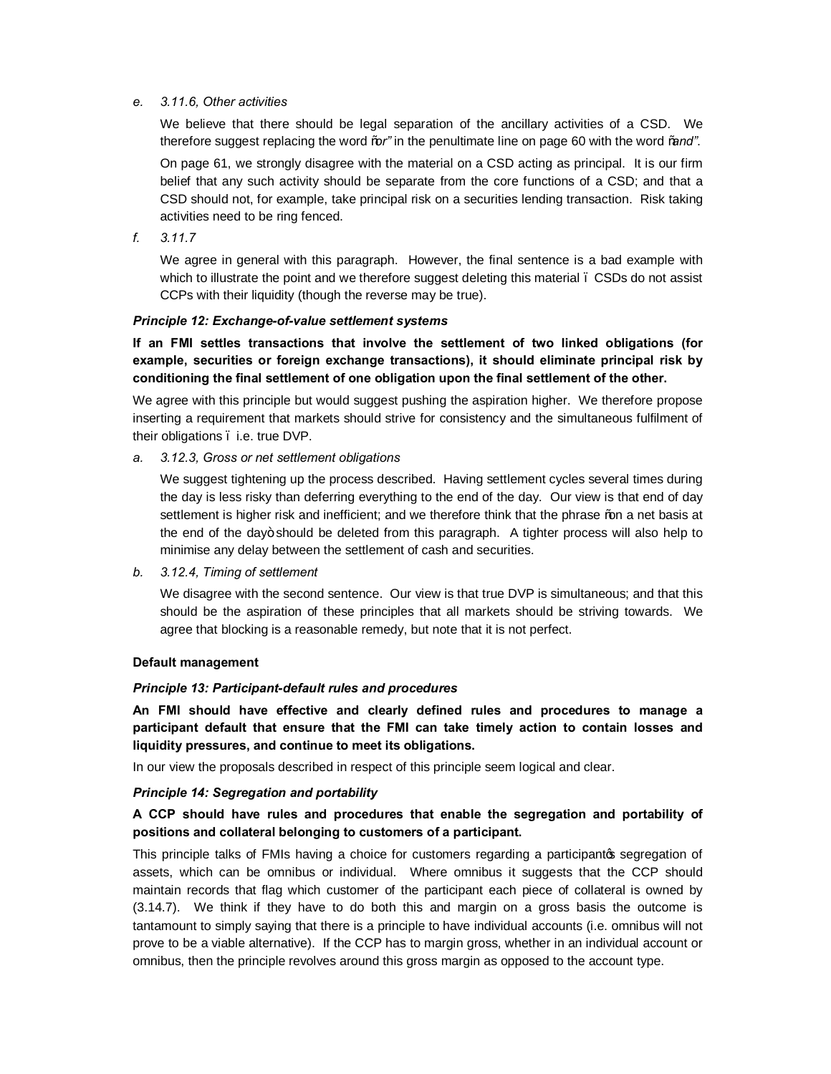### *e. 3.11.6, Other activities*

We believe that there should be legal separation of the ancillary activities of a CSD. We therefore suggest replacing the word "*or"* in the penultimate line on page 60 with the word "*and"*.

On page 61, we strongly disagree with the material on a CSD acting as principal. It is our firm belief that any such activity should be separate from the core functions of a CSD; and that a CSD should not, for example, take principal risk on a securities lending transaction. Risk taking activities need to be ring fenced.

*f. 3.11.7*

We agree in general with this paragraph. However, the final sentence is a bad example with which to illustrate the point and we therefore suggest deleting this material . CSDs do not assist CCPs with their liquidity (though the reverse may be true).

#### *Principle 12: Exchange-of-value settlement systems*

**If an FMI settles transactions that involve the settlement of two linked obligations (for example, securities or foreign exchange transactions), it should eliminate principal risk by conditioning the final settlement of one obligation upon the final settlement of the other.**

We agree with this principle but would suggest pushing the aspiration higher. We therefore propose inserting a requirement that markets should strive for consistency and the simultaneous fulfilment of their obligations – i.e. true DVP.

### *a. 3.12.3, Gross or net settlement obligations*

We suggest tightening up the process described. Having settlement cycles several times during the day is less risky than deferring everything to the end of the day. Our view is that end of day settlement is higher risk and inefficient; and we therefore think that the phrase ‰n a net basis at the end of the day+ should be deleted from this paragraph. A tighter process will also help to minimise any delay between the settlement of cash and securities.

*b. 3.12.4, Timing of settlement*

We disagree with the second sentence. Our view is that true DVP is simultaneous; and that this should be the aspiration of these principles that all markets should be striving towards. We agree that blocking is a reasonable remedy, but note that it is not perfect.

# **Default management**

#### *Principle 13: Participant-default rules and procedures*

**An FMI should have effective and clearly defined rules and procedures to manage a participant default that ensure that the FMI can take timely action to contain losses and liquidity pressures, and continue to meet its obligations.**

In our view the proposals described in respect of this principle seem logical and clear.

#### *Principle 14: Segregation and portability*

# **A CCP should have rules and procedures that enable the segregation and portability of positions and collateral belonging to customers of a participant.**

This principle talks of FMIs having a choice for customers regarding a participantos segregation of assets, which can be omnibus or individual. Where omnibus it suggests that the CCP should maintain records that flag which customer of the participant each piece of collateral is owned by (3.14.7). We think if they have to do both this and margin on a gross basis the outcome is tantamount to simply saying that there is a principle to have individual accounts (i.e. omnibus will not prove to be a viable alternative). If the CCP has to margin gross, whether in an individual account or omnibus, then the principle revolves around this gross margin as opposed to the account type.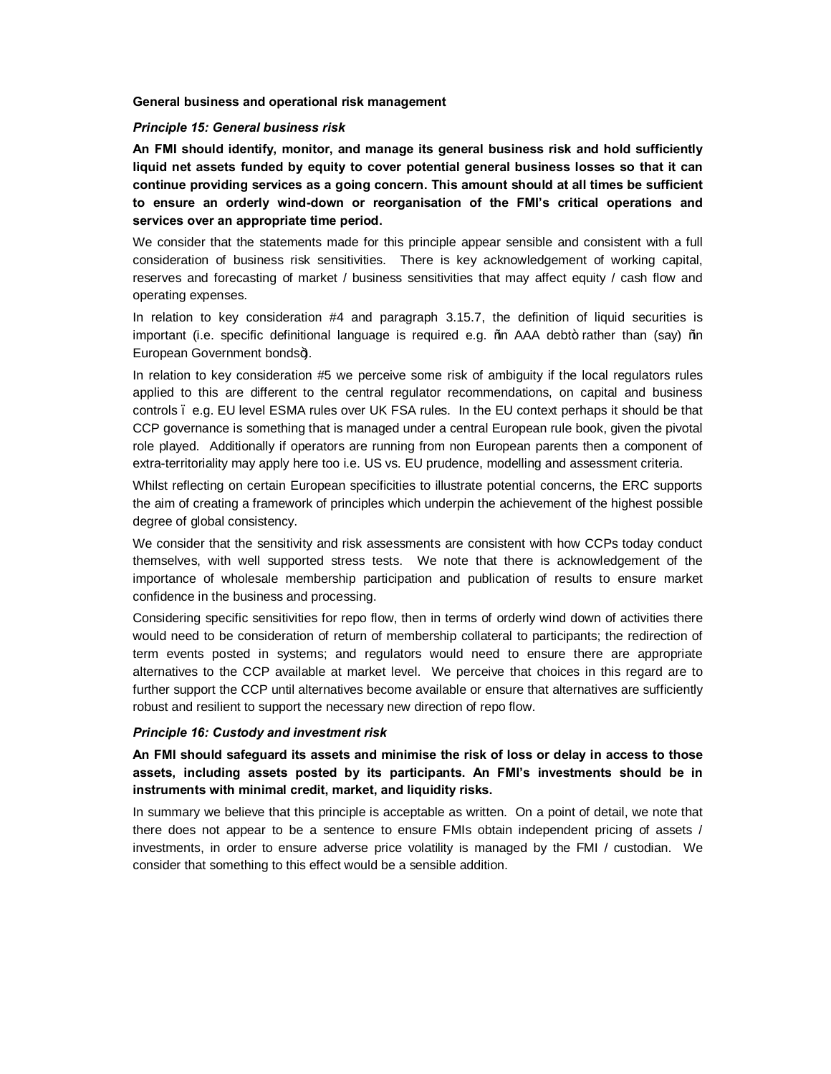#### **General business and operational risk management**

#### *Principle 15: General business risk*

**An FMI should identify, monitor, and manage its general business risk and hold sufficiently liquid net assets funded by equity to cover potential general business losses so that it can continue providing services as a going concern. This amount should at all times be sufficient to ensure an orderly wind-down or reorganisation of the FMI's critical operations and services over an appropriate time period.**

We consider that the statements made for this principle appear sensible and consistent with a full consideration of business risk sensitivities. There is key acknowledgement of working capital, reserves and forecasting of market / business sensitivities that may affect equity / cash flow and operating expenses.

In relation to key consideration #4 and paragraph 3.15.7, the definition of liquid securities is important (i.e. specific definitional language is required e.g. % a AAA debt+ rather than (say) % in European Government bonds+).

In relation to key consideration #5 we perceive some risk of ambiguity if the local regulators rules applied to this are different to the central regulator recommendations, on capital and business controls – e.g. EU level ESMA rules over UK FSA rules. In the EU context perhaps it should be that CCP governance is something that is managed under a central European rule book, given the pivotal role played. Additionally if operators are running from non European parents then a component of extra-territoriality may apply here too i.e. US vs. EU prudence, modelling and assessment criteria.

Whilst reflecting on certain European specificities to illustrate potential concerns, the ERC supports the aim of creating a framework of principles which underpin the achievement of the highest possible degree of global consistency.

We consider that the sensitivity and risk assessments are consistent with how CCPs today conduct themselves, with well supported stress tests. We note that there is acknowledgement of the importance of wholesale membership participation and publication of results to ensure market confidence in the business and processing.

Considering specific sensitivities for repo flow, then in terms of orderly wind down of activities there would need to be consideration of return of membership collateral to participants; the redirection of term events posted in systems; and regulators would need to ensure there are appropriate alternatives to the CCP available at market level. We perceive that choices in this regard are to further support the CCP until alternatives become available or ensure that alternatives are sufficiently robust and resilient to support the necessary new direction of repo flow.

#### *Principle 16: Custody and investment risk*

**An FMI should safeguard its assets and minimise the risk of loss or delay in access to those assets, including assets posted by its participants. An FMI's investments should be in instruments with minimal credit, market, and liquidity risks.**

In summary we believe that this principle is acceptable as written. On a point of detail, we note that there does not appear to be a sentence to ensure FMIs obtain independent pricing of assets / investments, in order to ensure adverse price volatility is managed by the FMI / custodian. We consider that something to this effect would be a sensible addition.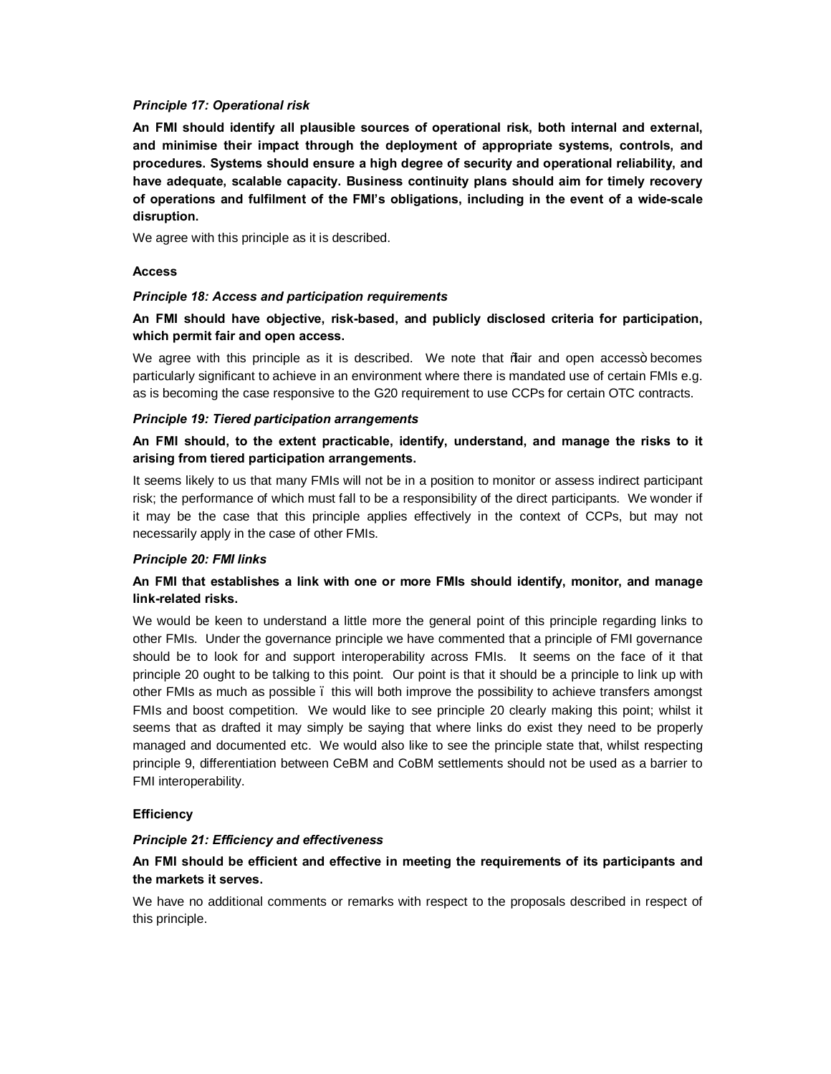### *Principle 17: Operational risk*

**An FMI should identify all plausible sources of operational risk, both internal and external, and minimise their impact through the deployment of appropriate systems, controls, and procedures. Systems should ensure a high degree of security and operational reliability, and have adequate, scalable capacity. Business continuity plans should aim for timely recovery of operations and fulfilment of the FMI's obligations, including in the event of a wide-scale disruption.**

We agree with this principle as it is described.

### **Access**

### *Principle 18: Access and participation requirements*

**An FMI should have objective, risk-based, and publicly disclosed criteria for participation, which permit fair and open access.**

We agree with this principle as it is described. We note that %air and open access+ becomes particularly significant to achieve in an environment where there is mandated use of certain FMIs e.g. as is becoming the case responsive to the G20 requirement to use CCPs for certain OTC contracts.

### *Principle 19: Tiered participation arrangements*

# **An FMI should, to the extent practicable, identify, understand, and manage the risks to it arising from tiered participation arrangements.**

It seems likely to us that many FMIs will not be in a position to monitor or assess indirect participant risk; the performance of which must fall to be a responsibility of the direct participants. We wonder if it may be the case that this principle applies effectively in the context of CCPs, but may not necessarily apply in the case of other FMIs.

#### *Principle 20: FMI links*

# **An FMI that establishes a link with one or more FMIs should identify, monitor, and manage link-related risks.**

We would be keen to understand a little more the general point of this principle regarding links to other FMIs. Under the governance principle we have commented that a principle of FMI governance should be to look for and support interoperability across FMIs. It seems on the face of it that principle 20 ought to be talking to this point. Our point is that it should be a principle to link up with other FMIs as much as possible – this will both improve the possibility to achieve transfers amongst FMIs and boost competition. We would like to see principle 20 clearly making this point; whilst it seems that as drafted it may simply be saying that where links do exist they need to be properly managed and documented etc. We would also like to see the principle state that, whilst respecting principle 9, differentiation between CeBM and CoBM settlements should not be used as a barrier to FMI interoperability.

# **Efficiency**

# *Principle 21: Efficiency and effectiveness*

# **An FMI should be efficient and effective in meeting the requirements of its participants and the markets it serves.**

We have no additional comments or remarks with respect to the proposals described in respect of this principle.